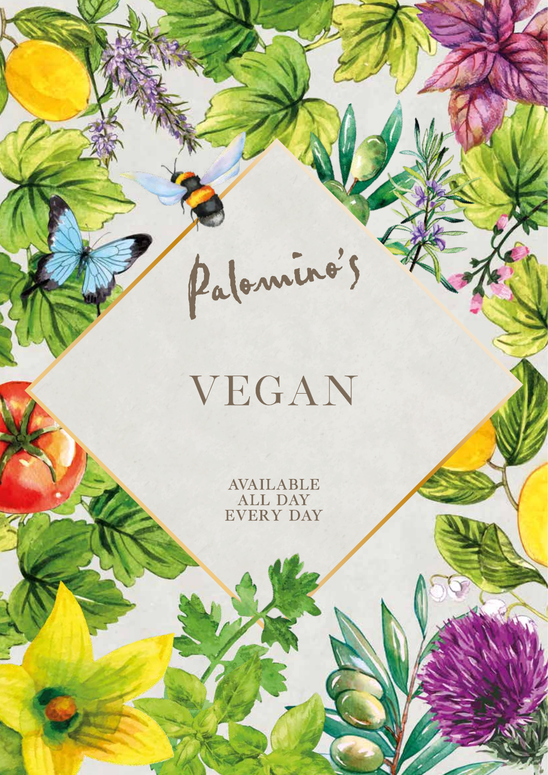# VEGAN

Palominos

AVAILABLE ALL DAY EVERY DAY